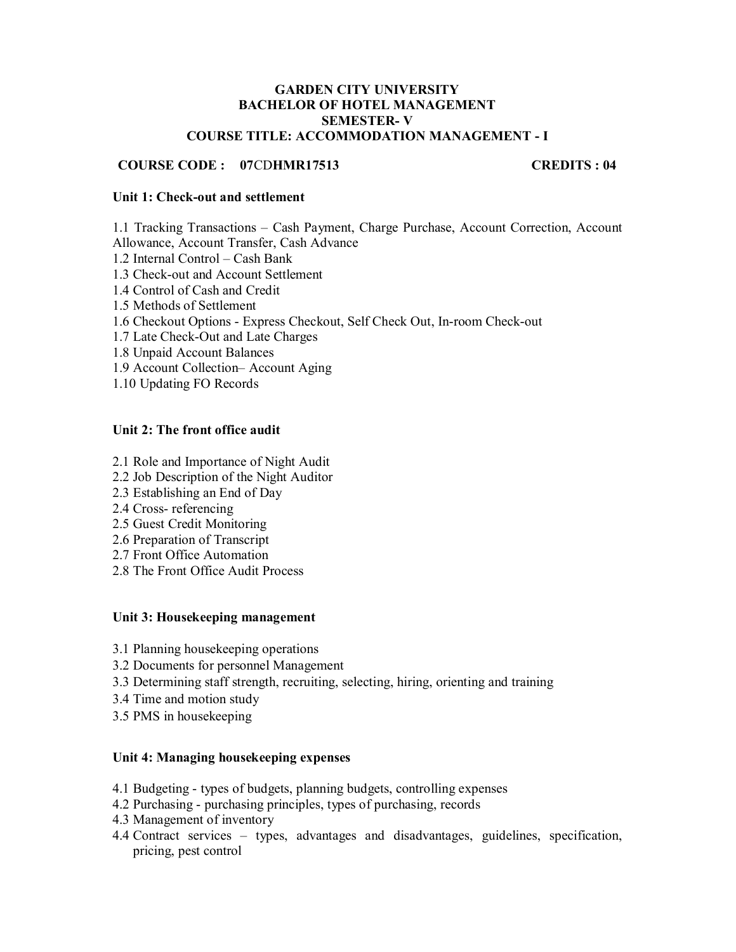#### **GARDEN CITY UNIVERSITY BACHELOR OF HOTEL MANAGEMENT SEMESTER- V COURSE TITLE: ACCOMMODATION MANAGEMENT - I**

### **COURSE CODE : 07**CD**HMR17513 CREDITS : 04**

#### **Unit 1: Check-out and settlement**

1.1 Tracking Transactions – Cash Payment, Charge Purchase, Account Correction, Account Allowance, Account Transfer, Cash Advance

- 1.2 Internal Control Cash Bank
- 1.3 Check-out and Account Settlement
- 1.4 Control of Cash and Credit
- 1.5 Methods of Settlement
- 1.6 Checkout Options Express Checkout, Self Check Out, In-room Check-out
- 1.7 Late Check-Out and Late Charges
- 1.8 Unpaid Account Balances
- 1.9 Account Collection– Account Aging
- 1.10 Updating FO Records

#### **Unit 2: The front office audit**

- 2.1 Role and Importance of Night Audit
- 2.2 Job Description of the Night Auditor
- 2.3 Establishing an End of Day
- 2.4 Cross- referencing
- 2.5 Guest Credit Monitoring
- 2.6 Preparation of Transcript
- 2.7 Front Office Automation
- 2.8 The Front Office Audit Process

#### **Unit 3: Housekeeping management**

- 3.1 Planning housekeeping operations
- 3.2 Documents for personnel Management
- 3.3 Determining staff strength, recruiting, selecting, hiring, orienting and training
- 3.4 Time and motion study
- 3.5 PMS in housekeeping

#### **Unit 4: Managing housekeeping expenses**

- 4.1 Budgeting types of budgets, planning budgets, controlling expenses
- 4.2 Purchasing purchasing principles, types of purchasing, records
- 4.3 Management of inventory
- 4.4 Contract services types, advantages and disadvantages, guidelines, specification, pricing, pest control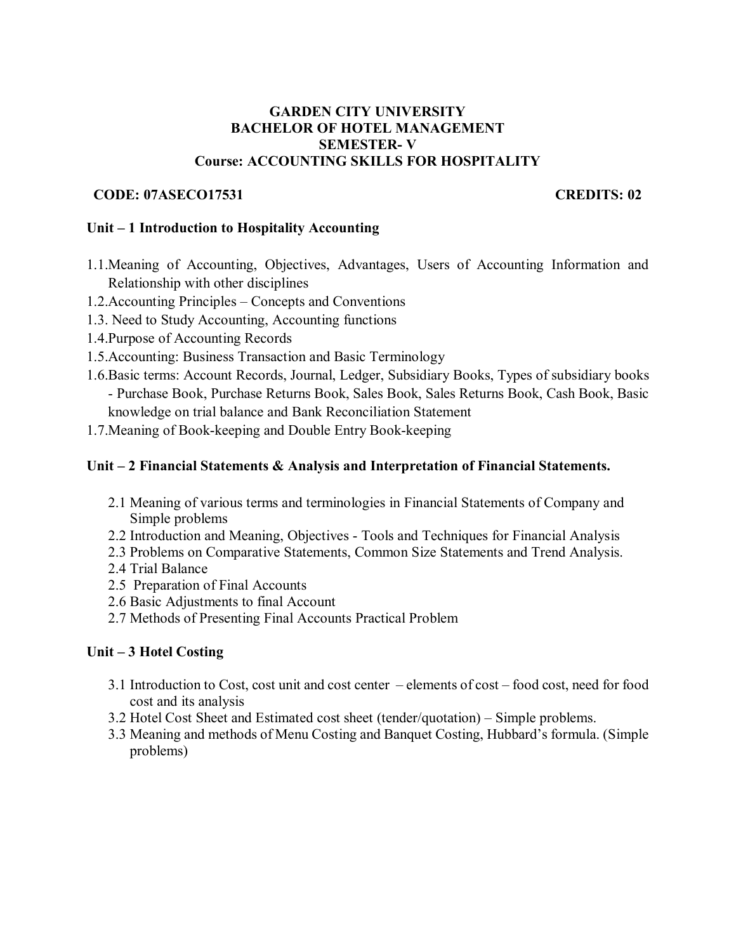### **GARDEN CITY UNIVERSITY BACHELOR OF HOTEL MANAGEMENT SEMESTER- V Course: ACCOUNTING SKILLS FOR HOSPITALITY**

## **CODE: 07ASECO17531 CREDITS: 02**

### **Unit – 1 Introduction to Hospitality Accounting**

- 1.1.Meaning of Accounting, Objectives, Advantages, Users of Accounting Information and Relationship with other disciplines
- 1.2.Accounting Principles Concepts and Conventions
- 1.3. Need to Study Accounting, Accounting functions
- 1.4.Purpose of Accounting Records
- 1.5.Accounting: Business Transaction and Basic Terminology
- 1.6.Basic terms: Account Records, Journal, Ledger, Subsidiary Books, Types of subsidiary books - Purchase Book, Purchase Returns Book, Sales Book, Sales Returns Book, Cash Book, Basic knowledge on trial balance and Bank Reconciliation Statement
- 1.7.Meaning of Book-keeping and Double Entry Book-keeping

### **Unit – 2 Financial Statements & Analysis and Interpretation of Financial Statements.**

- 2.1 Meaning of various terms and terminologies in Financial Statements of Company and Simple problems
- 2.2 Introduction and Meaning, Objectives Tools and Techniques for Financial Analysis
- 2.3 Problems on Comparative Statements, Common Size Statements and Trend Analysis.
- 2.4 Trial Balance
- 2.5 Preparation of Final Accounts
- 2.6 Basic Adjustments to final Account
- 2.7 Methods of Presenting Final Accounts Practical Problem

## **Unit – 3 Hotel Costing**

- 3.1 Introduction to Cost, cost unit and cost center elements of cost food cost, need for food cost and its analysis
- 3.2 Hotel Cost Sheet and Estimated cost sheet (tender/quotation) Simple problems.
- 3.3 Meaning and methods of Menu Costing and Banquet Costing, Hubbard's formula. (Simple problems)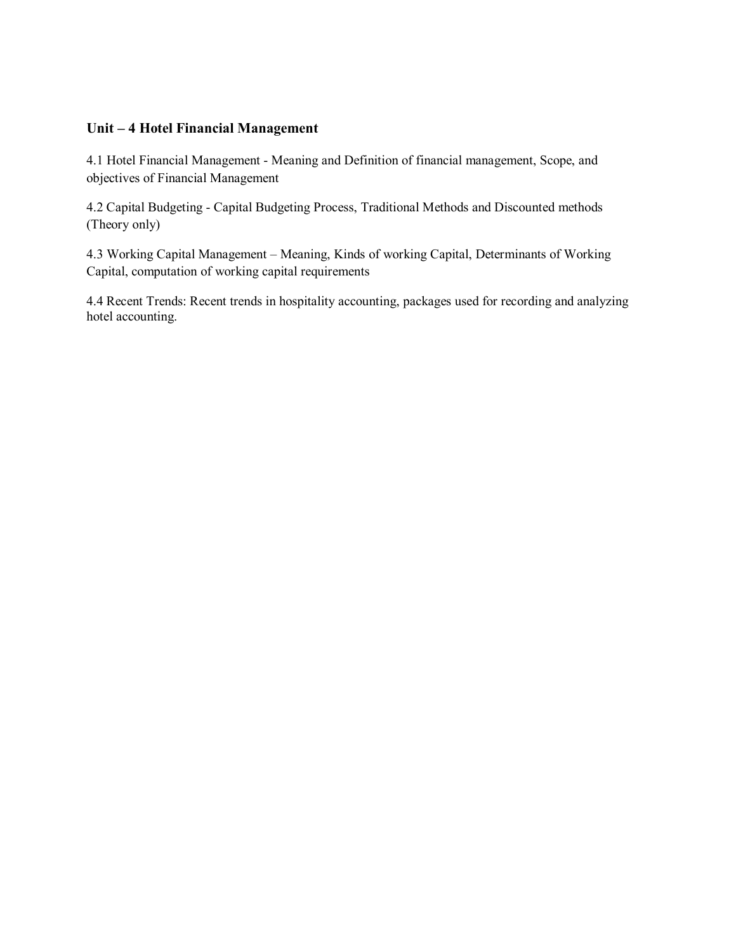## **Unit – 4 Hotel Financial Management**

4.1 Hotel Financial Management - Meaning and Definition of financial management, Scope, and objectives of Financial Management

4.2 Capital Budgeting - Capital Budgeting Process, Traditional Methods and Discounted methods (Theory only)

4.3 Working Capital Management – Meaning, Kinds of working Capital, Determinants of Working Capital, computation of working capital requirements

4.4 Recent Trends: Recent trends in hospitality accounting, packages used for recording and analyzing hotel accounting.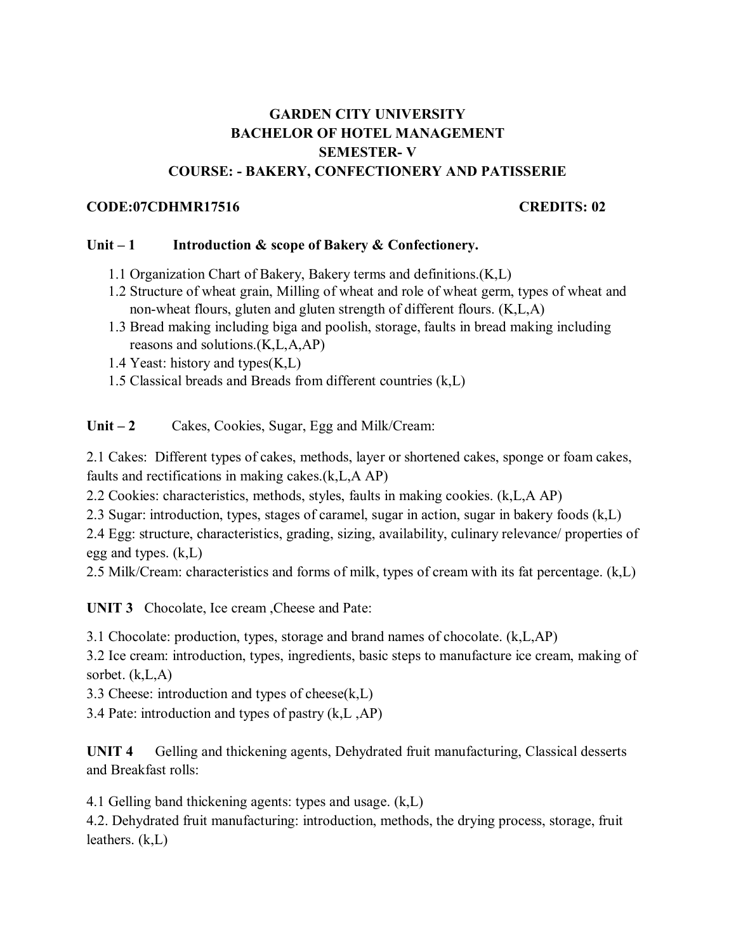# **GARDEN CITY UNIVERSITY BACHELOR OF HOTEL MANAGEMENT SEMESTER- V COURSE: - BAKERY, CONFECTIONERY AND PATISSERIE**

## **CODE:07CDHMR17516 CREDITS: 02**

## Unit – 1 Introduction & scope of Bakery & Confectionery.

- 1.1 Organization Chart of Bakery, Bakery terms and definitions.(K,L)
- 1.2 Structure of wheat grain, Milling of wheat and role of wheat germ, types of wheat and non-wheat flours, gluten and gluten strength of different flours. (K,L,A)
- 1.3 Bread making including biga and poolish, storage, faults in bread making including reasons and solutions.(K,L,A,AP)
- 1.4 Yeast: history and types(K,L)
- 1.5 Classical breads and Breads from different countries (k,L)

Unit – 2 Cakes, Cookies, Sugar, Egg and Milk/Cream:

2.1 Cakes: Different types of cakes, methods, layer or shortened cakes, sponge or foam cakes, faults and rectifications in making cakes.(k,L,A AP)

2.2 Cookies: characteristics, methods, styles, faults in making cookies. (k,L,A AP)

2.3 Sugar: introduction, types, stages of caramel, sugar in action, sugar in bakery foods (k,L)

2.4 Egg: structure, characteristics, grading, sizing, availability, culinary relevance/ properties of egg and types. (k,L)

2.5 Milk/Cream: characteristics and forms of milk, types of cream with its fat percentage. (k,L)

**UNIT 3** Chocolate, Ice cream ,Cheese and Pate:

3.1 Chocolate: production, types, storage and brand names of chocolate. (k,L,AP)

3.2 Ice cream: introduction, types, ingredients, basic steps to manufacture ice cream, making of sorbet. (k,L,A)

3.3 Cheese: introduction and types of cheese(k,L)

3.4 Pate: introduction and types of pastry (k,L ,AP)

**UNIT 4** Gelling and thickening agents, Dehydrated fruit manufacturing, Classical desserts and Breakfast rolls:

4.1 Gelling band thickening agents: types and usage. (k,L)

4.2. Dehydrated fruit manufacturing: introduction, methods, the drying process, storage, fruit leathers. (k,L)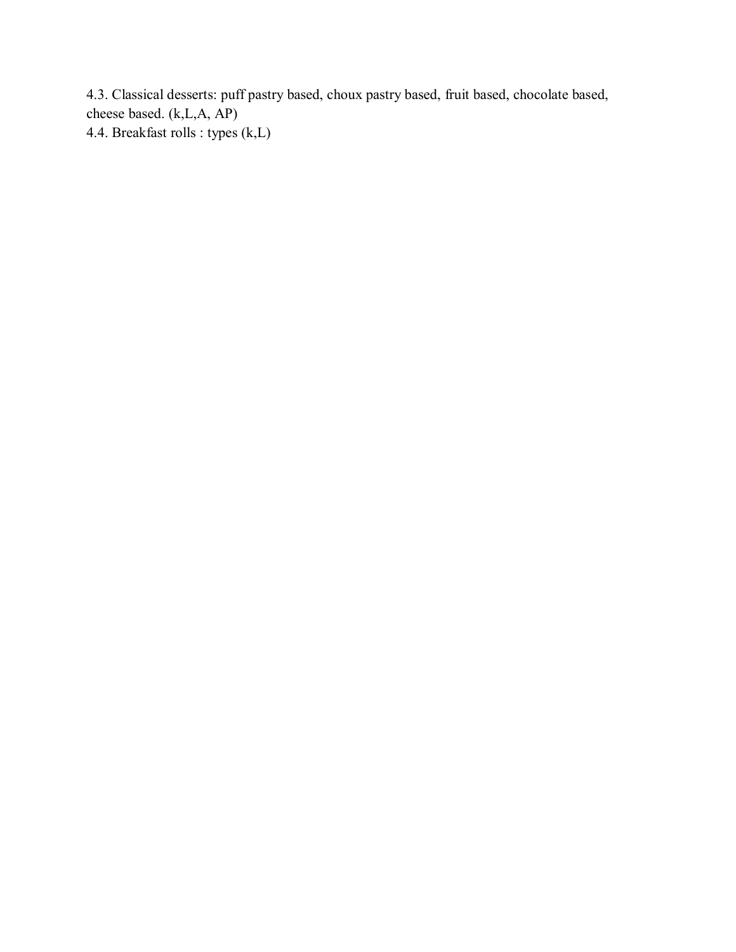4.3. Classical desserts: puff pastry based, choux pastry based, fruit based, chocolate based, cheese based. (k,L,A, AP) 4.4. Breakfast rolls : types (k,L)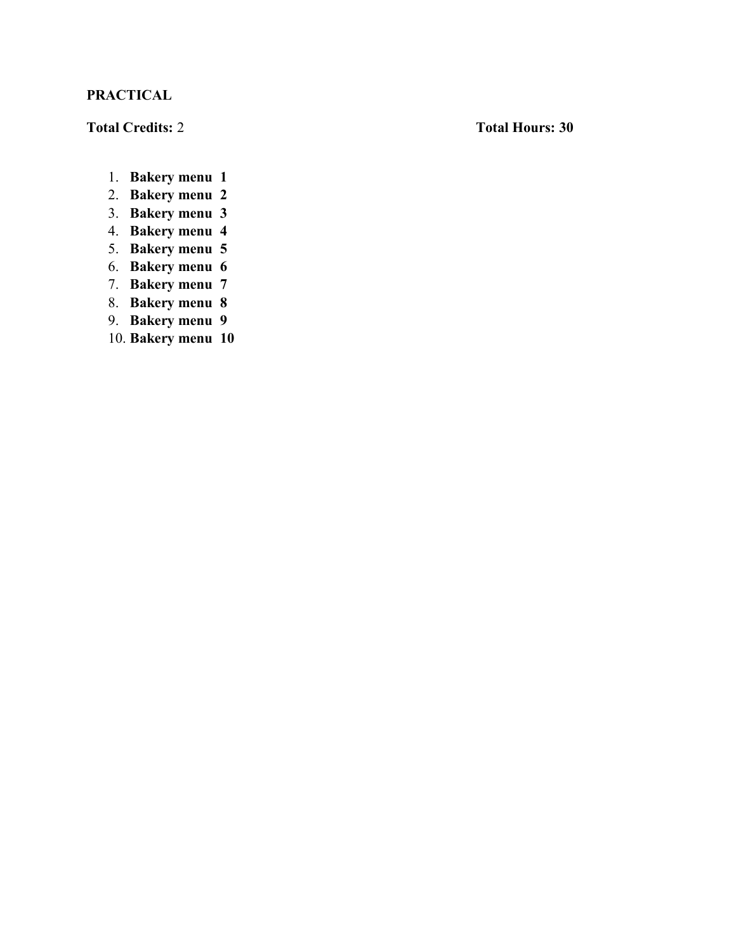# **PRACTICAL**

# **Total Credits:** 2 **Total Hours: 30**

- 1. **Bakery menu 1**
- 2. **Bakery menu 2**
- 3. **Bakery menu 3**
- 4. **Bakery menu 4**
- 5. **Bakery menu 5**
- 6. **Bakery menu 6**
- 7. **Bakery menu 7**
- 8. **Bakery menu 8**
- 9. **Bakery menu 9**
- 10. **Bakery menu 10**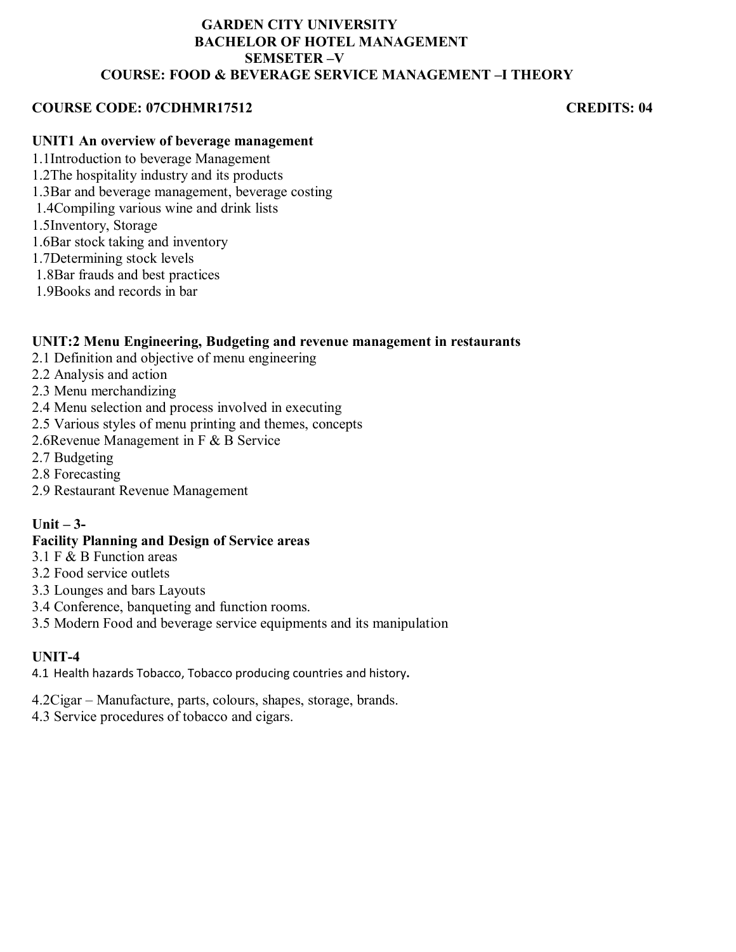### **GARDEN CITY UNIVERSITY BACHELOR OF HOTEL MANAGEMENT SEMSETER –V COURSE: FOOD & BEVERAGE SERVICE MANAGEMENT –I THEORY**

## **COURSE CODE: 07CDHMR17512 CREDITS: 04**

## **UNIT1 An overview of beverage management**

- 1.1Introduction to beverage Management
- 1.2The hospitality industry and its products
- 1.3Bar and beverage management, beverage costing
- 1.4Compiling various wine and drink lists
- 1.5Inventory, Storage
- 1.6Bar stock taking and inventory
- 1.7Determining stock levels
- 1.8Bar frauds and best practices
- 1.9Books and records in bar

## **UNIT:2 Menu Engineering, Budgeting and revenue management in restaurants**

- 2.1 Definition and objective of menu engineering
- 2.2 Analysis and action
- 2.3 Menu merchandizing
- 2.4 Menu selection and process involved in executing
- 2.5 Various styles of menu printing and themes, concepts
- 2.6Revenue Management in F & B Service
- 2.7 Budgeting
- 2.8 Forecasting
- 2.9 Restaurant Revenue Management

## **Unit – 3-**

### **Facility Planning and Design of Service areas**

- 3.1 F & B Function areas
- 3.2 Food service outlets
- 3.3 Lounges and bars Layouts
- 3.4 Conference, banqueting and function rooms.
- 3.5 Modern Food and beverage service equipments and its manipulation

## **UNIT-4**

- 4.1 Health hazards Tobacco, Tobacco producing countries and history**.**
- 4.2Cigar Manufacture, parts, colours, shapes, storage, brands.
- 4.3 Service procedures of tobacco and cigars.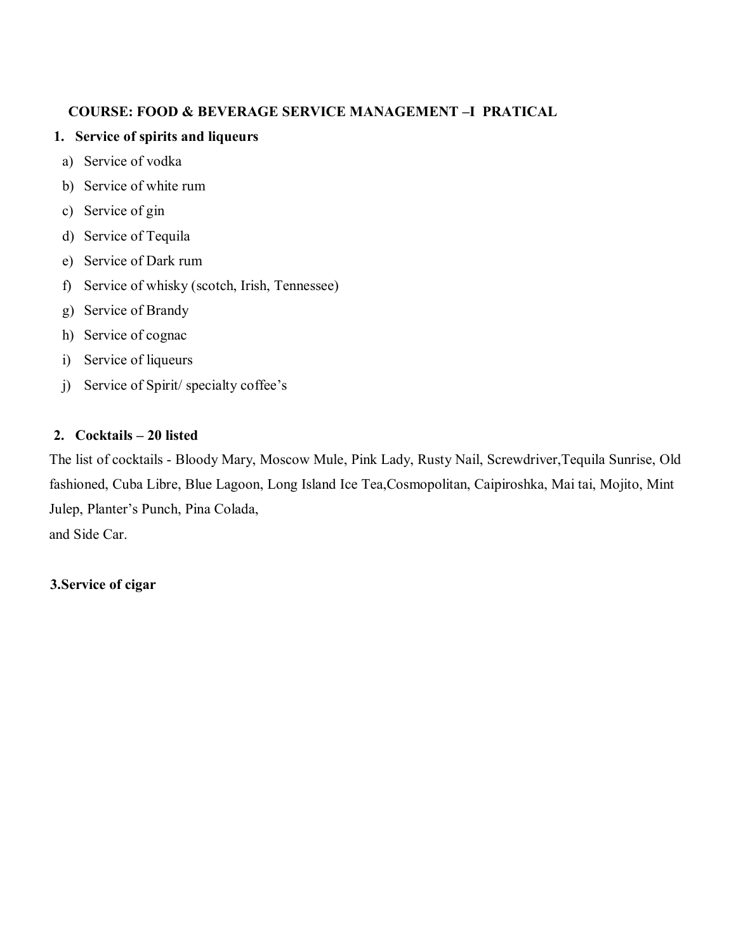# **COURSE: FOOD & BEVERAGE SERVICE MANAGEMENT –I PRATICAL**

# **1. Service of spirits and liqueurs**

- a) Service of vodka
- b) Service of white rum
- c) Service of gin
- d) Service of Tequila
- e) Service of Dark rum
- f) Service of whisky (scotch, Irish, Tennessee)
- g) Service of Brandy
- h) Service of cognac
- i) Service of liqueurs
- j) Service of Spirit/ specialty coffee's

# **2. Cocktails – 20 listed**

The list of cocktails - Bloody Mary, Moscow Mule, Pink Lady, Rusty Nail, Screwdriver,Tequila Sunrise, Old fashioned, Cuba Libre, Blue Lagoon, Long Island Ice Tea,Cosmopolitan, Caipiroshka, Mai tai, Mojito, Mint Julep, Planter's Punch, Pina Colada, and Side Car.

## **3.Service of cigar**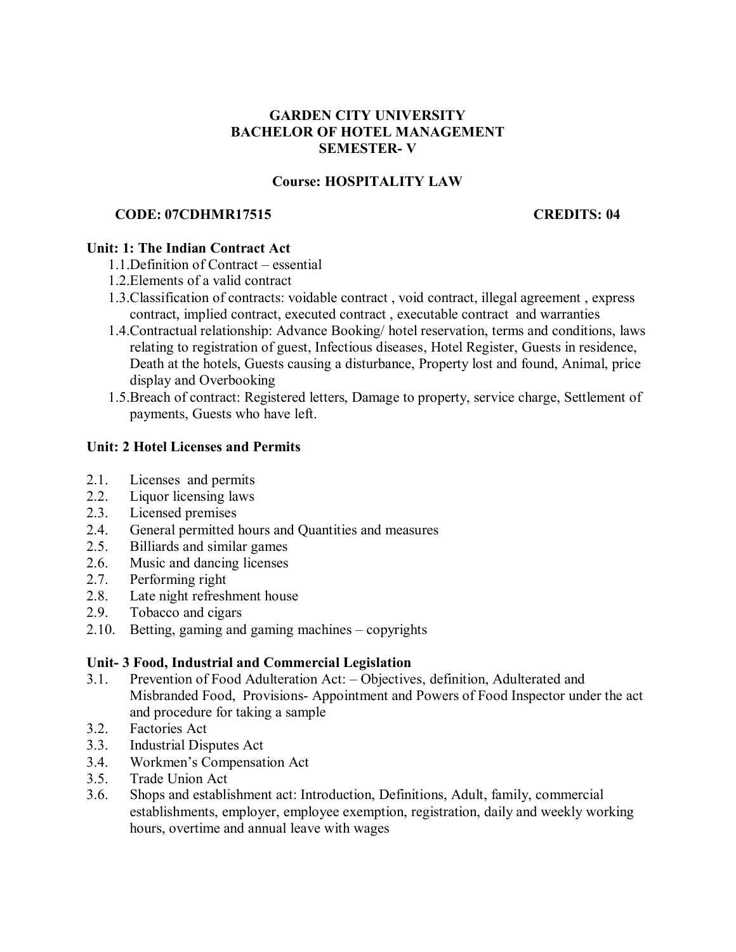## **GARDEN CITY UNIVERSITY BACHELOR OF HOTEL MANAGEMENT SEMESTER- V**

## **Course: HOSPITALITY LAW**

## **CODE: 07CDHMR17515 CREDITS: 04**

## **Unit: 1: The Indian Contract Act**

- 1.1.Definition of Contract essential
- 1.2.Elements of a valid contract
- 1.3.Classification of contracts: voidable contract , void contract, illegal agreement , express contract, implied contract, executed contract , executable contract and warranties
- 1.4.Contractual relationship: Advance Booking/ hotel reservation, terms and conditions, laws relating to registration of guest, Infectious diseases, Hotel Register, Guests in residence, Death at the hotels, Guests causing a disturbance, Property lost and found, Animal, price display and Overbooking
- 1.5.Breach of contract: Registered letters, Damage to property, service charge, Settlement of payments, Guests who have left.

## **Unit: 2 Hotel Licenses and Permits**

- 2.1. Licenses and permits
- 2.2. Liquor licensing laws
- 2.3. Licensed premises
- 2.4. General permitted hours and Quantities and measures
- 2.5. Billiards and similar games
- 2.6. Music and dancing licenses
- 2.7. Performing right
- 2.8. Late night refreshment house
- 2.9. Tobacco and cigars
- 2.10. Betting, gaming and gaming machines copyrights

## **Unit- 3 Food, Industrial and Commercial Legislation**

- 3.1. Prevention of Food Adulteration Act: Objectives, definition, Adulterated and Misbranded Food, Provisions- Appointment and Powers of Food Inspector under the act and procedure for taking a sample
- 3.2. Factories Act
- 3.3. Industrial Disputes Act
- 3.4. Workmen's Compensation Act
- 3.5. Trade Union Act
- 3.6. Shops and establishment act: Introduction, Definitions, Adult, family, commercial establishments, employer, employee exemption, registration, daily and weekly working hours, overtime and annual leave with wages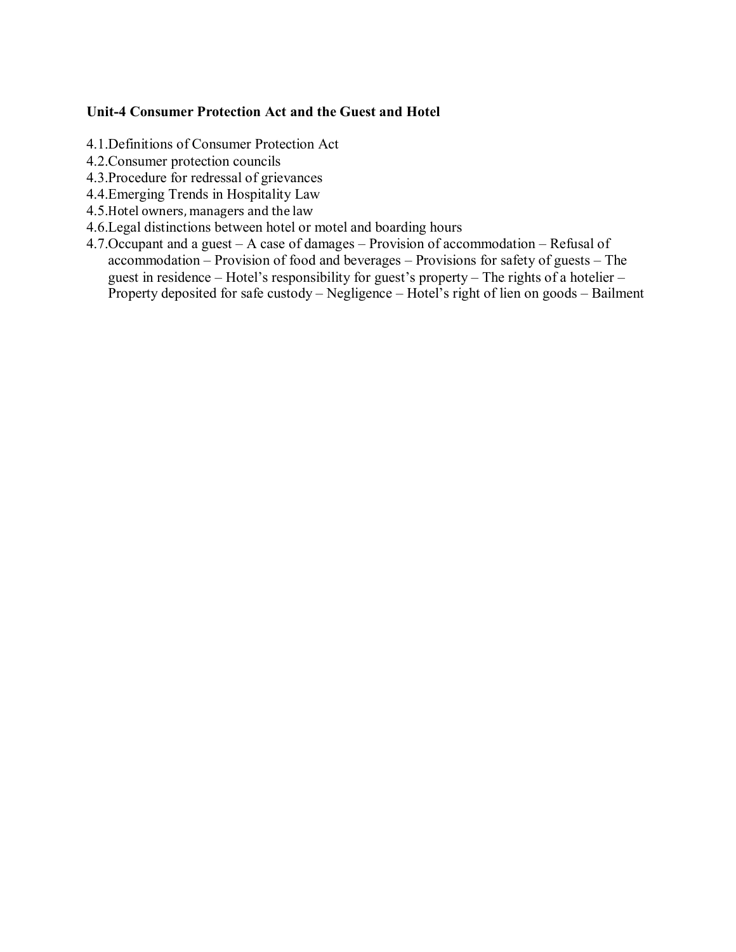## **Unit-4 Consumer Protection Act and the Guest and Hotel**

- 4.1.Definitions of Consumer Protection Act
- 4.2.Consumer protection councils
- 4.3.Procedure for redressal of grievances
- 4.4.Emerging Trends in Hospitality Law
- 4.5.Hotel owners, managers and the law
- 4.6.Legal distinctions between hotel or motel and boarding hours
- 4.7.Occupant and a guest A case of damages Provision of accommodation Refusal of accommodation – Provision of food and beverages – Provisions for safety of guests – The guest in residence – Hotel's responsibility for guest's property – The rights of a hotelier – Property deposited for safe custody – Negligence – Hotel's right of lien on goods – Bailment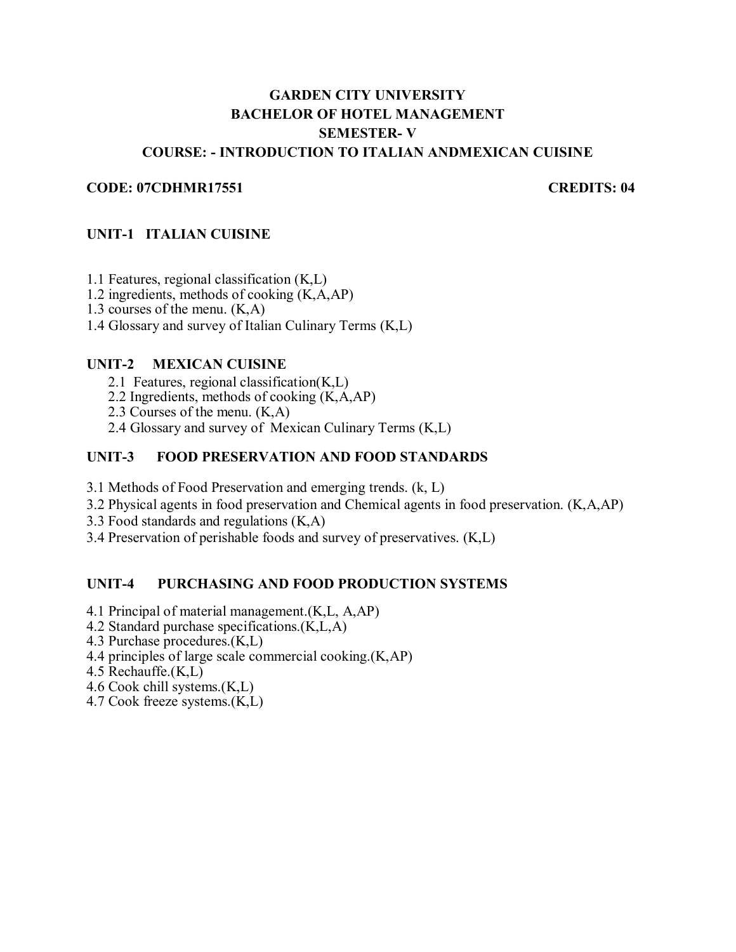# **GARDEN CITY UNIVERSITY BACHELOR OF HOTEL MANAGEMENT SEMESTER- V COURSE: - INTRODUCTION TO ITALIAN ANDMEXICAN CUISINE**

#### **CODE: 07CDHMR17551 CREDITS: 04**

### **UNIT-1 ITALIAN CUISINE**

1.1 Features, regional classification (K,L)

1.2 ingredients, methods of cooking (K,A,AP)

1.3 courses of the menu. (K,A)

1.4 Glossary and survey of Italian Culinary Terms (K,L)

#### **UNIT-2 MEXICAN CUISINE**

2.1 Features, regional classification(K,L)

- 2.2 Ingredients, methods of cooking  $(K, A, AP)$
- 2.3 Courses of the menu. (K,A)
- 2.4 Glossary and survey of Mexican Culinary Terms (K,L)

## **UNIT-3 FOOD PRESERVATION AND FOOD STANDARDS**

3.1 Methods of Food Preservation and emerging trends. (k, L)

3.2 Physical agents in food preservation and Chemical agents in food preservation. (K,A,AP)

3.3 Food standards and regulations (K,A)

3.4 Preservation of perishable foods and survey of preservatives. (K,L)

#### **UNIT-4 PURCHASING AND FOOD PRODUCTION SYSTEMS**

- 4.1 Principal of material management.(K,L, A,AP)
- 4.2 Standard purchase specifications.(K,L,A)
- 4.3 Purchase procedures.(K,L)
- 4.4 principles of large scale commercial cooking.(K,AP)
- 4.5 Rechauffe.(K,L)
- 4.6 Cook chill systems.(K,L)
- 4.7 Cook freeze systems.(K,L)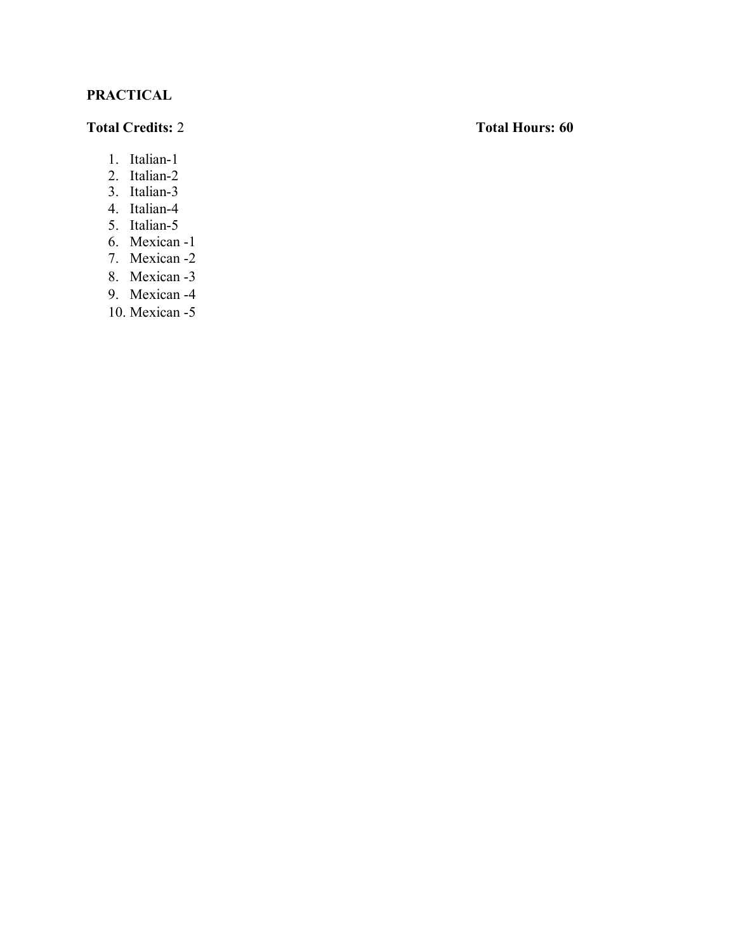# **PRACTICAL**

## **Total Credits:** 2 **Total Hours: 60**

- 1. Italian-1
- 2. Italian-2
- 3. Italian-3
- 4. Italian-4
- 5. Italian-5
- 6. Mexican -1
- 7. Mexican -2
- 8. Mexican -3
- 9. Mexican -4
- 10. Mexican -5